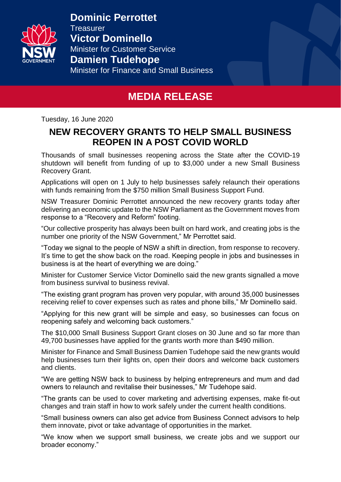

**Dominic Perrottet Treasurer Victor Dominello** Minister for Customer Service **Damien Tudehope** Minister for Finance and Small Business

# **MEDIA RELEASE**

Tuesday, 16 June 2020

## **NEW RECOVERY GRANTS TO HELP SMALL BUSINESS REOPEN IN A POST COVID WORLD**

Thousands of small businesses reopening across the State after the COVID-19 shutdown will benefit from funding of up to \$3,000 under a new Small Business Recovery Grant.

Applications will open on 1 July to help businesses safely relaunch their operations with funds remaining from the \$750 million Small Business Support Fund.

NSW Treasurer Dominic Perrottet announced the new recovery grants today after delivering an economic update to the NSW Parliament as the Government moves from response to a "Recovery and Reform" footing.

"Our collective prosperity has always been built on hard work, and creating jobs is the number one priority of the NSW Government," Mr Perrottet said.

"Today we signal to the people of NSW a shift in direction, from response to recovery. It's time to get the show back on the road. Keeping people in jobs and businesses in business is at the heart of everything we are doing."

Minister for Customer Service Victor Dominello said the new grants signalled a move from business survival to business revival.

"The existing grant program has proven very popular, with around 35,000 businesses receiving relief to cover expenses such as rates and phone bills," Mr Dominello said.

"Applying for this new grant will be simple and easy, so businesses can focus on reopening safely and welcoming back customers."

The \$10,000 Small Business Support Grant closes on 30 June and so far more than 49,700 businesses have applied for the grants worth more than \$490 million.

Minister for Finance and Small Business Damien Tudehope said the new grants would help businesses turn their lights on, open their doors and welcome back customers and clients.

"We are getting NSW back to business by helping entrepreneurs and mum and dad owners to relaunch and revitalise their businesses," Mr Tudehope said.

"The grants can be used to cover marketing and advertising expenses, make fit-out changes and train staff in how to work safely under the current health conditions.

"Small business owners can also get advice from Business Connect advisors to help them innovate, pivot or take advantage of opportunities in the market.

"We know when we support small business, we create jobs and we support our broader economy."